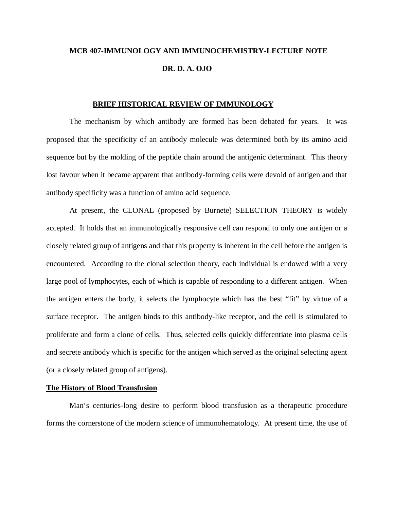# **MCB 407-IMMUNOLOGY AND IMMUNOCHEMISTRY-LECTURE NOTE DR. D. A. OJO**

### **BRIEF HISTORICAL REVIEW OF IMMUNOLOGY**

The mechanism by which antibody are formed has been debated for years. It was proposed that the specificity of an antibody molecule was determined both by its amino acid sequence but by the molding of the peptide chain around the antigenic determinant. This theory lost favour when it became apparent that antibody-forming cells were devoid of antigen and that antibody specificity was a function of amino acid sequence.

At present, the CLONAL (proposed by Burnete) SELECTION THEORY is widely accepted. It holds that an immunologically responsive cell can respond to only one antigen or a closely related group of antigens and that this property is inherent in the cell before the antigen is encountered. According to the clonal selection theory, each individual is endowed with a very large pool of lymphocytes, each of which is capable of responding to a different antigen. When the antigen enters the body, it selects the lymphocyte which has the best "fit" by virtue of a surface receptor. The antigen binds to this antibody-like receptor, and the cell is stimulated to proliferate and form a clone of cells. Thus, selected cells quickly differentiate into plasma cells and secrete antibody which is specific for the antigen which served as the original selecting agent (or a closely related group of antigens).

# **The History of Blood Transfusion**

Man's centuries-long desire to perform blood transfusion as a therapeutic procedure forms the cornerstone of the modern science of immunohematology. At present time, the use of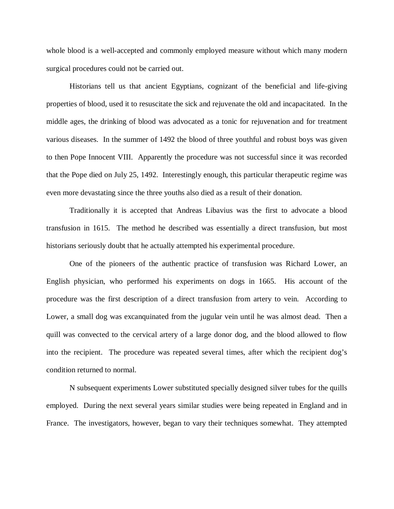whole blood is a well-accepted and commonly employed measure without which many modern surgical procedures could not be carried out.

Historians tell us that ancient Egyptians, cognizant of the beneficial and life-giving properties of blood, used it to resuscitate the sick and rejuvenate the old and incapacitated. In the middle ages, the drinking of blood was advocated as a tonic for rejuvenation and for treatment various diseases. In the summer of 1492 the blood of three youthful and robust boys was given to then Pope Innocent VIII. Apparently the procedure was not successful since it was recorded that the Pope died on July 25, 1492. Interestingly enough, this particular therapeutic regime was even more devastating since the three youths also died as a result of their donation.

Traditionally it is accepted that Andreas Libavius was the first to advocate a blood transfusion in 1615. The method he described was essentially a direct transfusion, but most historians seriously doubt that he actually attempted his experimental procedure.

One of the pioneers of the authentic practice of transfusion was Richard Lower, an English physician, who performed his experiments on dogs in 1665. His account of the procedure was the first description of a direct transfusion from artery to vein. According to Lower, a small dog was excanquinated from the jugular vein until he was almost dead. Then a quill was convected to the cervical artery of a large donor dog, and the blood allowed to flow into the recipient. The procedure was repeated several times, after which the recipient dog's condition returned to normal.

N subsequent experiments Lower substituted specially designed silver tubes for the quills employed. During the next several years similar studies were being repeated in England and in France. The investigators, however, began to vary their techniques somewhat. They attempted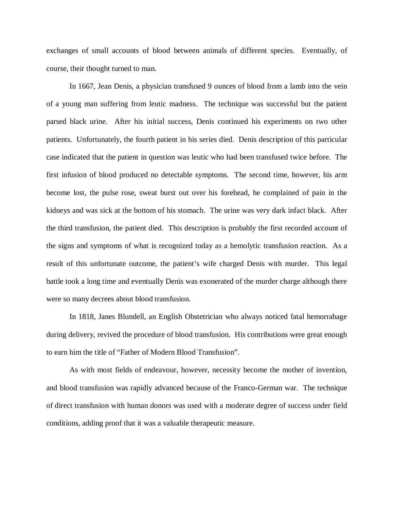exchanges of small accounts of blood between animals of different species. Eventually, of course, their thought turned to man.

In 1667, Jean Denis, a physician transfused 9 ounces of blood from a lamb into the vein of a young man suffering from leutic madness. The technique was successful but the patient parsed black urine. After his initial success, Denis continued his experiments on two other patients. Unfortunately, the fourth patient in his series died. Denis description of this particular case indicated that the patient in question was leutic who had been transfused twice before. The first infusion of blood produced no detectable symptoms. The second time, however, his arm become lost, the pulse rose, sweat burst out over his forehead, he complained of pain in the kidneys and was sick at the bottom of his stomach. The urine was very dark infact black. After the third transfusion, the patient died. This description is probably the first recorded account of the signs and symptoms of what is recognized today as a hemolytic transfusion reaction. As a result of this unfortunate outcome, the patient's wife charged Denis with murder. This legal battle took a long time and eventually Denis was exonerated of the murder charge although there were so many decrees about blood transfusion.

In 1818, Janes Blundell, an English Obstetrician who always noticed fatal hemorrahage during delivery, revived the procedure of blood transfusion. His contributions were great enough to earn him the title of "Father of Modern Blood Transfusion".

As with most fields of endeavour, however, necessity become the mother of invention, and blood transfusion was rapidly advanced because of the Franco-German war. The technique of direct transfusion with human donors was used with a moderate degree of success under field conditions, adding proof that it was a valuable therapeutic measure.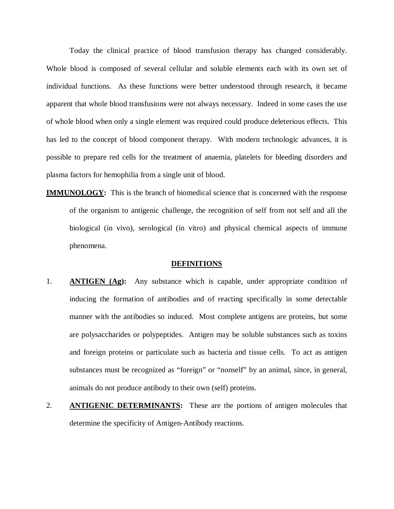Today the clinical practice of blood transfusion therapy has changed considerably. Whole blood is composed of several cellular and soluble elements each with its own set of individual functions. As these functions were better understood through research, it became apparent that whole blood transfusions were not always necessary. Indeed in some cases the use of whole blood when only a single element was required could produce deleterious effects. This has led to the concept of blood component therapy. With modern technologic advances, it is possible to prepare red cells for the treatment of anaemia, platelets for bleeding disorders and plasma factors for hemophilia from a single unit of blood.

**IMMUNOLOGY:** This is the branch of biomedical science that is concerned with the response of the organism to antigenic challenge, the recognition of self from not self and all the biological (in vivo), serological (in vitro) and physical chemical aspects of immune phenomena.

#### **DEFINITIONS**

- 1. **ANTIGEN (Ag):** Any substance which is capable, under appropriate condition of inducing the formation of antibodies and of reacting specifically in some detectable manner with the antibodies so induced. Most complete antigens are proteins, but some are polysaccharides or polypeptides. Antigen may be soluble substances such as toxins and foreign proteins or particulate such as bacteria and tissue cells. To act as antigen substances must be recognized as "foreign" or "nonself" by an animal, since, in general, animals do not produce antibody to their own (self) proteins.
- 2. **ANTIGENIC DETERMINANTS:** These are the portions of antigen molecules that determine the specificity of Antigen-Antibody reactions.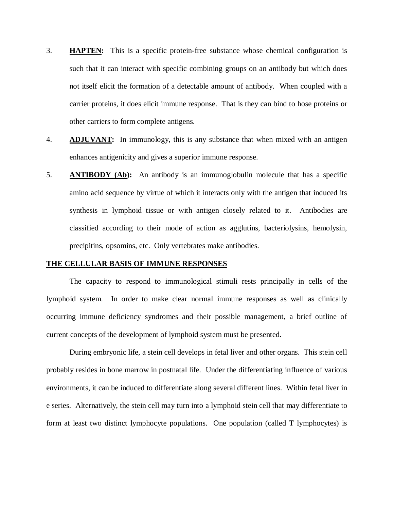- 3. **HAPTEN:** This is a specific protein-free substance whose chemical configuration is such that it can interact with specific combining groups on an antibody but which does not itself elicit the formation of a detectable amount of antibody. When coupled with a carrier proteins, it does elicit immune response. That is they can bind to hose proteins or other carriers to form complete antigens.
- 4. **ADJUVANT:** In immunology, this is any substance that when mixed with an antigen enhances antigenicity and gives a superior immune response.
- 5. **ANTIBODY (Ab):** An antibody is an immunoglobulin molecule that has a specific amino acid sequence by virtue of which it interacts only with the antigen that induced its synthesis in lymphoid tissue or with antigen closely related to it. Antibodies are classified according to their mode of action as agglutins, bacteriolysins, hemolysin, precipitins, opsomins, etc. Only vertebrates make antibodies.

#### **THE CELLULAR BASIS OF IMMUNE RESPONSES**

The capacity to respond to immunological stimuli rests principally in cells of the lymphoid system. In order to make clear normal immune responses as well as clinically occurring immune deficiency syndromes and their possible management, a brief outline of current concepts of the development of lymphoid system must be presented.

During embryonic life, a stein cell develops in fetal liver and other organs. This stein cell probably resides in bone marrow in postnatal life. Under the differentiating influence of various environments, it can be induced to differentiate along several different lines. Within fetal liver in e series. Alternatively, the stein cell may turn into a lymphoid stein cell that may differentiate to form at least two distinct lymphocyte populations. One population (called T lymphocytes) is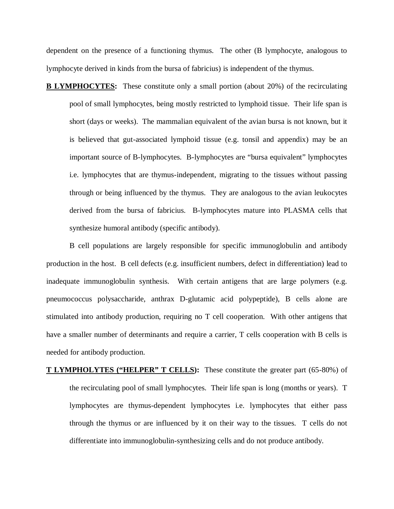dependent on the presence of a functioning thymus. The other (B lymphocyte, analogous to lymphocyte derived in kinds from the bursa of fabricius) is independent of the thymus.

**B LYMPHOCYTES:** These constitute only a small portion (about 20%) of the recirculating pool of small lymphocytes, being mostly restricted to lymphoid tissue. Their life span is short (days or weeks). The mammalian equivalent of the avian bursa is not known, but it is believed that gut-associated lymphoid tissue (e.g. tonsil and appendix) may be an important source of B-lymphocytes. B-lymphocytes are "bursa equivalent" lymphocytes i.e. lymphocytes that are thymus-independent, migrating to the tissues without passing through or being influenced by the thymus. They are analogous to the avian leukocytes derived from the bursa of fabricius. B-lymphocytes mature into PLASMA cells that synthesize humoral antibody (specific antibody).

B cell populations are largely responsible for specific immunoglobulin and antibody production in the host. B cell defects (e.g. insufficient numbers, defect in differentiation) lead to inadequate immunoglobulin synthesis. With certain antigens that are large polymers (e.g. pneumococcus polysaccharide, anthrax D-glutamic acid polypeptide), B cells alone are stimulated into antibody production, requiring no T cell cooperation. With other antigens that have a smaller number of determinants and require a carrier, T cells cooperation with B cells is needed for antibody production.

**T LYMPHOLYTES ("HELPER" T CELLS):** These constitute the greater part (65-80%) of the recirculating pool of small lymphocytes. Their life span is long (months or years). T lymphocytes are thymus-dependent lymphocytes i.e. lymphocytes that either pass through the thymus or are influenced by it on their way to the tissues. T cells do not differentiate into immunoglobulin-synthesizing cells and do not produce antibody.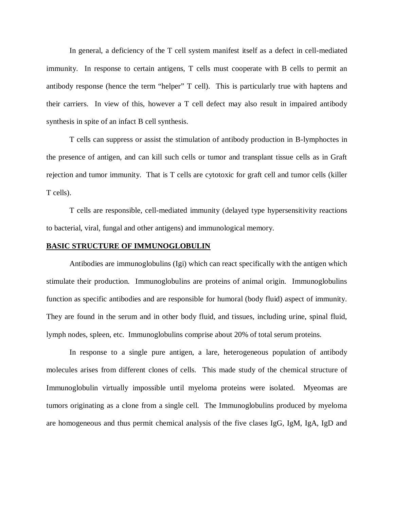In general, a deficiency of the T cell system manifest itself as a defect in cell-mediated immunity. In response to certain antigens, T cells must cooperate with B cells to permit an antibody response (hence the term "helper" T cell). This is particularly true with haptens and their carriers. In view of this, however a T cell defect may also result in impaired antibody synthesis in spite of an infact B cell synthesis.

T cells can suppress or assist the stimulation of antibody production in B-lymphoctes in the presence of antigen, and can kill such cells or tumor and transplant tissue cells as in Graft rejection and tumor immunity. That is T cells are cytotoxic for graft cell and tumor cells (killer T cells).

T cells are responsible, cell-mediated immunity (delayed type hypersensitivity reactions to bacterial, viral, fungal and other antigens) and immunological memory.

### **BASIC STRUCTURE OF IMMUNOGLOBULIN**

Antibodies are immunoglobulins (Igi) which can react specifically with the antigen which stimulate their production. Immunoglobulins are proteins of animal origin. Immunoglobulins function as specific antibodies and are responsible for humoral (body fluid) aspect of immunity. They are found in the serum and in other body fluid, and tissues, including urine, spinal fluid, lymph nodes, spleen, etc. Immunoglobulins comprise about 20% of total serum proteins.

In response to a single pure antigen, a lare, heterogeneous population of antibody molecules arises from different clones of cells. This made study of the chemical structure of Immunoglobulin virtually impossible until myeloma proteins were isolated. Myeomas are tumors originating as a clone from a single cell. The Immunoglobulins produced by myeloma are homogeneous and thus permit chemical analysis of the five clases IgG, IgM, IgA, IgD and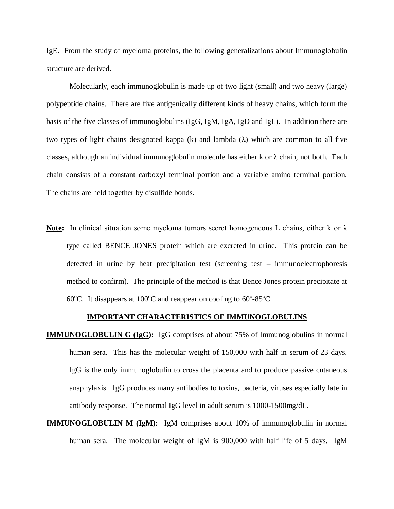IgE. From the study of myeloma proteins, the following generalizations about Immunoglobulin structure are derived.

Molecularly, each immunoglobulin is made up of two light (small) and two heavy (large) polypeptide chains. There are five antigenically different kinds of heavy chains, which form the basis of the five classes of immunoglobulins (IgG, IgM, IgA, IgD and IgE). In addition there are two types of light chains designated kappa (k) and lambda ( $\lambda$ ) which are common to all five classes, although an individual immunoglobulin molecule has either k or  $\lambda$  chain, not both. Each chain consists of a constant carboxyl terminal portion and a variable amino terminal portion. The chains are held together by disulfide bonds.

**Note:** In clinical situation some myeloma tumors secret homogeneous L chains, either k or λ type called BENCE JONES protein which are excreted in urine. This protein can be detected in urine by heat precipitation test (screening test – immunoelectrophoresis method to confirm). The principle of the method is that Bence Jones protein precipitate at 60°C. It disappears at 100°C and reappear on cooling to  $60^{\circ}$ -85°C.

# **IMPORTANT CHARACTERISTICS OF IMMUNOGLOBULINS**

- **IMMUNOGLOBULIN G (IgG):** IgG comprises of about 75% of Immunoglobulins in normal human sera. This has the molecular weight of 150,000 with half in serum of 23 days. IgG is the only immunoglobulin to cross the placenta and to produce passive cutaneous anaphylaxis. IgG produces many antibodies to toxins, bacteria, viruses especially late in antibody response. The normal IgG level in adult serum is 1000-1500mg/dL.
- **IMMUNOGLOBULIN M (IgM):** IgM comprises about 10% of immunoglobulin in normal human sera. The molecular weight of IgM is 900,000 with half life of 5 days. IgM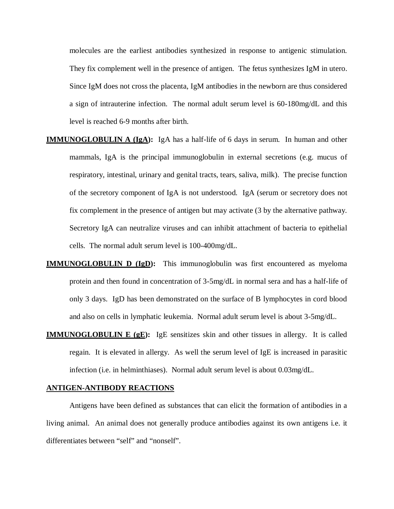molecules are the earliest antibodies synthesized in response to antigenic stimulation. They fix complement well in the presence of antigen. The fetus synthesizes IgM in utero. Since IgM does not cross the placenta, IgM antibodies in the newborn are thus considered a sign of intrauterine infection. The normal adult serum level is 60-180mg/dL and this level is reached 6-9 months after birth.

- **IMMUNOGLOBULIN A (IgA):** IgA has a half-life of 6 days in serum. In human and other mammals, IgA is the principal immunoglobulin in external secretions (e.g. mucus of respiratory, intestinal, urinary and genital tracts, tears, saliva, milk). The precise function of the secretory component of IgA is not understood. IgA (serum or secretory does not fix complement in the presence of antigen but may activate (3 by the alternative pathway. Secretory IgA can neutralize viruses and can inhibit attachment of bacteria to epithelial cells. The normal adult serum level is 100-400mg/dL.
- **IMMUNOGLOBULIN D (IgD):** This immunoglobulin was first encountered as myeloma protein and then found in concentration of 3-5mg/dL in normal sera and has a half-life of only 3 days. IgD has been demonstrated on the surface of B lymphocytes in cord blood and also on cells in lymphatic leukemia. Normal adult serum level is about 3-5mg/dL.
- **IMMUNOGLOBULIN E (gE):** IgE sensitizes skin and other tissues in allergy. It is called regain. It is elevated in allergy. As well the serum level of IgE is increased in parasitic infection (i.e. in helminthiases). Normal adult serum level is about 0.03mg/dL.

# **ANTIGEN-ANTIBODY REACTIONS**

Antigens have been defined as substances that can elicit the formation of antibodies in a living animal. An animal does not generally produce antibodies against its own antigens i.e. it differentiates between "self" and "nonself".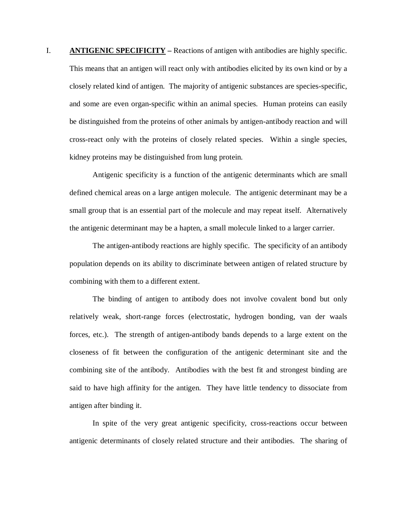I. **ANTIGENIC SPECIFICITY –** Reactions of antigen with antibodies are highly specific. This means that an antigen will react only with antibodies elicited by its own kind or by a closely related kind of antigen. The majority of antigenic substances are species-specific, and some are even organ-specific within an animal species. Human proteins can easily be distinguished from the proteins of other animals by antigen-antibody reaction and will cross-react only with the proteins of closely related species. Within a single species, kidney proteins may be distinguished from lung protein.

Antigenic specificity is a function of the antigenic determinants which are small defined chemical areas on a large antigen molecule. The antigenic determinant may be a small group that is an essential part of the molecule and may repeat itself. Alternatively the antigenic determinant may be a hapten, a small molecule linked to a larger carrier.

The antigen-antibody reactions are highly specific. The specificity of an antibody population depends on its ability to discriminate between antigen of related structure by combining with them to a different extent.

The binding of antigen to antibody does not involve covalent bond but only relatively weak, short-range forces (electrostatic, hydrogen bonding, van der waals forces, etc.). The strength of antigen-antibody bands depends to a large extent on the closeness of fit between the configuration of the antigenic determinant site and the combining site of the antibody. Antibodies with the best fit and strongest binding are said to have high affinity for the antigen. They have little tendency to dissociate from antigen after binding it.

In spite of the very great antigenic specificity, cross-reactions occur between antigenic determinants of closely related structure and their antibodies. The sharing of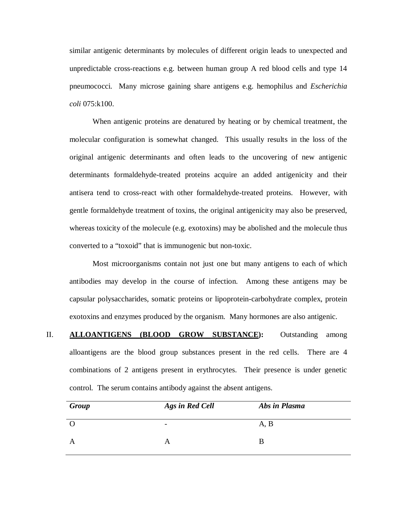similar antigenic determinants by molecules of different origin leads to unexpected and unpredictable cross-reactions e.g. between human group A red blood cells and type 14 pneumococci. Many microse gaining share antigens e.g. hemophilus and *Escherichia coli* 075:k100.

When antigenic proteins are denatured by heating or by chemical treatment, the molecular configuration is somewhat changed. This usually results in the loss of the original antigenic determinants and often leads to the uncovering of new antigenic determinants formaldehyde-treated proteins acquire an added antigenicity and their antisera tend to cross-react with other formaldehyde-treated proteins. However, with gentle formaldehyde treatment of toxins, the original antigenicity may also be preserved, whereas toxicity of the molecule (e.g. exotoxins) may be abolished and the molecule thus converted to a "toxoid" that is immunogenic but non-toxic.

Most microorganisms contain not just one but many antigens to each of which antibodies may develop in the course of infection. Among these antigens may be capsular polysaccharides, somatic proteins or lipoprotein-carbohydrate complex, protein exotoxins and enzymes produced by the organism. Many hormones are also antigenic.

II. **ALLOANTIGENS (BLOOD GROW SUBSTANCE):** Outstanding among alloantigens are the blood group substances present in the red cells. There are 4 combinations of 2 antigens present in erythrocytes. Their presence is under genetic control. The serum contains antibody against the absent antigens.

| Group | Ags in Red Cell          | Abs in Plasma |
|-------|--------------------------|---------------|
|       | $\overline{\phantom{0}}$ | A, B          |
| A     |                          | В             |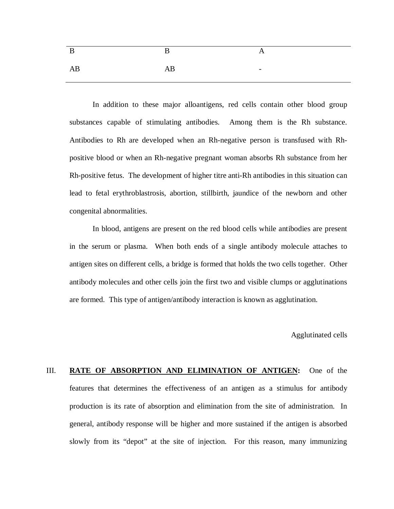| B  | $\mathbf{B}$ | A                        |
|----|--------------|--------------------------|
| AB | AB           | $\overline{\phantom{0}}$ |

In addition to these major alloantigens, red cells contain other blood group substances capable of stimulating antibodies. Among them is the Rh substance. Antibodies to Rh are developed when an Rh-negative person is transfused with Rhpositive blood or when an Rh-negative pregnant woman absorbs Rh substance from her Rh-positive fetus. The development of higher titre anti-Rh antibodies in this situation can lead to fetal erythroblastrosis, abortion, stillbirth, jaundice of the newborn and other congenital abnormalities.

In blood, antigens are present on the red blood cells while antibodies are present in the serum or plasma. When both ends of a single antibody molecule attaches to antigen sites on different cells, a bridge is formed that holds the two cells together. Other antibody molecules and other cells join the first two and visible clumps or agglutinations are formed. This type of antigen/antibody interaction is known as agglutination.

Agglutinated cells

III. **RATE OF ABSORPTION AND ELIMINATION OF ANTIGEN:** One of the features that determines the effectiveness of an antigen as a stimulus for antibody production is its rate of absorption and elimination from the site of administration. In general, antibody response will be higher and more sustained if the antigen is absorbed slowly from its "depot" at the site of injection. For this reason, many immunizing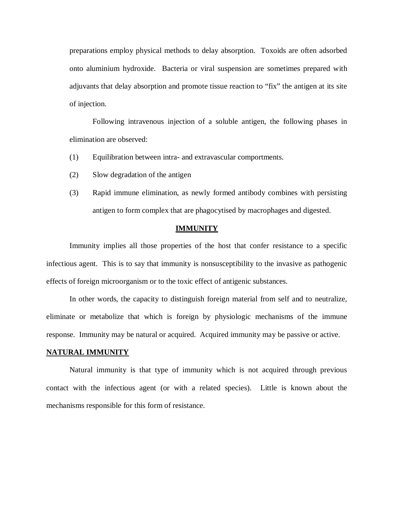preparations employ physical methods to delay absorption. Toxoids are often adsorbed onto aluminium hydroxide. Bacteria or viral suspension are sometimes prepared with adjuvants that delay absorption and promote tissue reaction to "fix" the antigen at its site of injection.

Following intravenous injection of a soluble antigen, the following phases in elimination are observed:

- (1) Equilibration between intra- and extravascular comportments.
- (2) Slow degradation of the antigen
- (3) Rapid immune elimination, as newly formed antibody combines with persisting antigen to form complex that are phagocytised by macrophages and digested.

#### **IMMUNITY**

Immunity implies all those properties of the host that confer resistance to a specific infectious agent. This is to say that immunity is nonsusceptibility to the invasive as pathogenic effects of foreign microorganism or to the toxic effect of antigenic substances.

In other words, the capacity to distinguish foreign material from self and to neutralize, eliminate or metabolize that which is foreign by physiologic mechanisms of the immune response. Immunity may be natural or acquired. Acquired immunity may be passive or active.

## **NATURAL IMMUNITY**

Natural immunity is that type of immunity which is not acquired through previous contact with the infectious agent (or with a related species). Little is known about the mechanisms responsible for this form of resistance.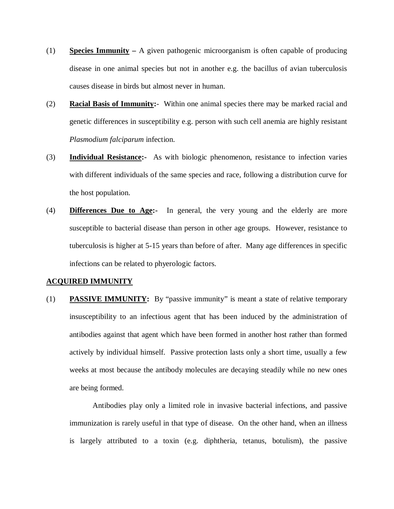- (1) **Species Immunity –** A given pathogenic microorganism is often capable of producing disease in one animal species but not in another e.g. the bacillus of avian tuberculosis causes disease in birds but almost never in human.
- (2) **Racial Basis of Immunity:** Within one animal species there may be marked racial and genetic differences in susceptibility e.g. person with such cell anemia are highly resistant *Plasmodium falciparum* infection.
- (3) **Individual Resistance:-** As with biologic phenomenon, resistance to infection varies with different individuals of the same species and race, following a distribution curve for the host population.
- (4) **Differences Due to Age:-** In general, the very young and the elderly are more susceptible to bacterial disease than person in other age groups. However, resistance to tuberculosis is higher at 5-15 years than before of after. Many age differences in specific infections can be related to phyerologic factors.

#### **ACQUIRED IMMUNITY**

(1) **PASSIVE IMMUNITY:** By "passive immunity" is meant a state of relative temporary insusceptibility to an infectious agent that has been induced by the administration of antibodies against that agent which have been formed in another host rather than formed actively by individual himself. Passive protection lasts only a short time, usually a few weeks at most because the antibody molecules are decaying steadily while no new ones are being formed.

Antibodies play only a limited role in invasive bacterial infections, and passive immunization is rarely useful in that type of disease. On the other hand, when an illness is largely attributed to a toxin (e.g. diphtheria, tetanus, botulism), the passive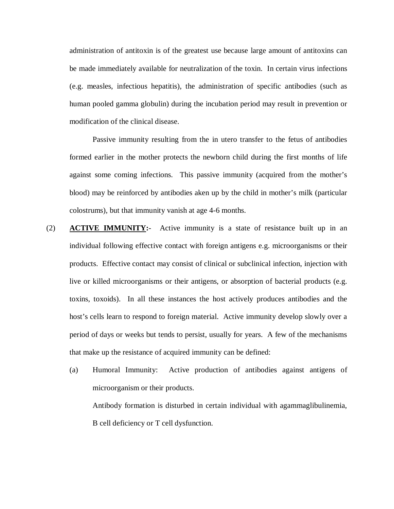administration of antitoxin is of the greatest use because large amount of antitoxins can be made immediately available for neutralization of the toxin. In certain virus infections (e.g. measles, infectious hepatitis), the administration of specific antibodies (such as human pooled gamma globulin) during the incubation period may result in prevention or modification of the clinical disease.

Passive immunity resulting from the in utero transfer to the fetus of antibodies formed earlier in the mother protects the newborn child during the first months of life against some coming infections. This passive immunity (acquired from the mother's blood) may be reinforced by antibodies aken up by the child in mother's milk (particular colostrums), but that immunity vanish at age 4-6 months.

- (2) **ACTIVE IMMUNITY:** Active immunity is a state of resistance built up in an individual following effective contact with foreign antigens e.g. microorganisms or their products. Effective contact may consist of clinical or subclinical infection, injection with live or killed microorganisms or their antigens, or absorption of bacterial products (e.g. toxins, toxoids). In all these instances the host actively produces antibodies and the host's cells learn to respond to foreign material. Active immunity develop slowly over a period of days or weeks but tends to persist, usually for years. A few of the mechanisms that make up the resistance of acquired immunity can be defined:
	- (a) Humoral Immunity: Active production of antibodies against antigens of microorganism or their products. Antibody formation is disturbed in certain individual with agammaglibulinemia,

B cell deficiency or T cell dysfunction.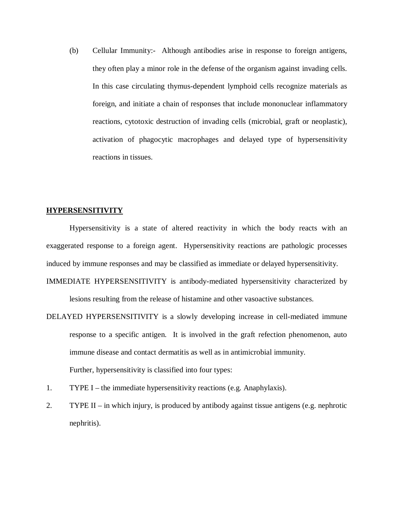(b) Cellular Immunity:- Although antibodies arise in response to foreign antigens, they often play a minor role in the defense of the organism against invading cells. In this case circulating thymus-dependent lymphoid cells recognize materials as foreign, and initiate a chain of responses that include mononuclear inflammatory reactions, cytotoxic destruction of invading cells (microbial, graft or neoplastic), activation of phagocytic macrophages and delayed type of hypersensitivity reactions in tissues.

# **HYPERSENSITIVITY**

Hypersensitivity is a state of altered reactivity in which the body reacts with an exaggerated response to a foreign agent. Hypersensitivity reactions are pathologic processes induced by immune responses and may be classified as immediate or delayed hypersensitivity.

IMMEDIATE HYPERSENSITIVITY is antibody-mediated hypersensitivity characterized by lesions resulting from the release of histamine and other vasoactive substances.

- DELAYED HYPERSENSITIVITY is a slowly developing increase in cell-mediated immune response to a specific antigen. It is involved in the graft refection phenomenon, auto immune disease and contact dermatitis as well as in antimicrobial immunity. Further, hypersensitivity is classified into four types:
- 1. TYPE I the immediate hypersensitivity reactions (e.g. Anaphylaxis).
- 2. TYPE II in which injury, is produced by antibody against tissue antigens (e.g. nephrotic nephritis).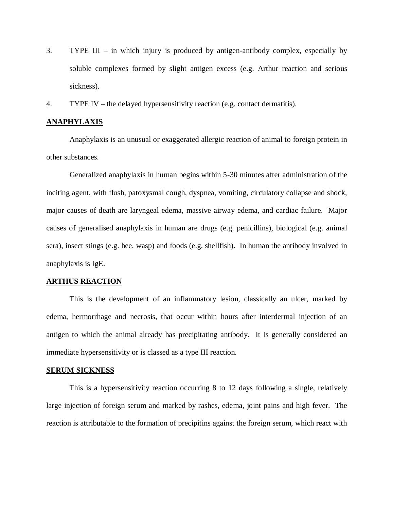- 3. TYPE III in which injury is produced by antigen-antibody complex, especially by soluble complexes formed by slight antigen excess (e.g. Arthur reaction and serious sickness).
- 4. TYPE IV the delayed hypersensitivity reaction (e.g. contact dermatitis).

# **ANAPHYLAXIS**

Anaphylaxis is an unusual or exaggerated allergic reaction of animal to foreign protein in other substances.

Generalized anaphylaxis in human begins within 5-30 minutes after administration of the inciting agent, with flush, patoxysmal cough, dyspnea, vomiting, circulatory collapse and shock, major causes of death are laryngeal edema, massive airway edema, and cardiac failure. Major causes of generalised anaphylaxis in human are drugs (e.g. penicillins), biological (e.g. animal sera), insect stings (e.g. bee, wasp) and foods (e.g. shellfish). In human the antibody involved in anaphylaxis is IgE.

# **ARTHUS REACTION**

This is the development of an inflammatory lesion, classically an ulcer, marked by edema, hermorrhage and necrosis, that occur within hours after interdermal injection of an antigen to which the animal already has precipitating antibody. It is generally considered an immediate hypersensitivity or is classed as a type III reaction.

# **SERUM SICKNESS**

This is a hypersensitivity reaction occurring 8 to 12 days following a single, relatively large injection of foreign serum and marked by rashes, edema, joint pains and high fever. The reaction is attributable to the formation of precipitins against the foreign serum, which react with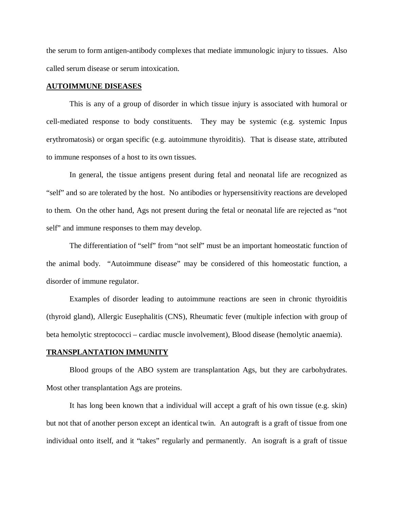the serum to form antigen-antibody complexes that mediate immunologic injury to tissues. Also called serum disease or serum intoxication.

# **AUTOIMMUNE DISEASES**

This is any of a group of disorder in which tissue injury is associated with humoral or cell-mediated response to body constituents. They may be systemic (e.g. systemic Inpus erythromatosis) or organ specific (e.g. autoimmune thyroiditis). That is disease state, attributed to immune responses of a host to its own tissues.

In general, the tissue antigens present during fetal and neonatal life are recognized as "self" and so are tolerated by the host. No antibodies or hypersensitivity reactions are developed to them. On the other hand, Ags not present during the fetal or neonatal life are rejected as "not self" and immune responses to them may develop.

The differentiation of "self" from "not self" must be an important homeostatic function of the animal body. "Autoimmune disease" may be considered of this homeostatic function, a disorder of immune regulator.

Examples of disorder leading to autoimmune reactions are seen in chronic thyroiditis (thyroid gland), Allergic Eusephalitis (CNS), Rheumatic fever (multiple infection with group of beta hemolytic streptococci – cardiac muscle involvement), Blood disease (hemolytic anaemia).

# **TRANSPLANTATION IMMUNITY**

Blood groups of the ABO system are transplantation Ags, but they are carbohydrates. Most other transplantation Ags are proteins.

It has long been known that a individual will accept a graft of his own tissue (e.g. skin) but not that of another person except an identical twin. An autograft is a graft of tissue from one individual onto itself, and it "takes" regularly and permanently. An isograft is a graft of tissue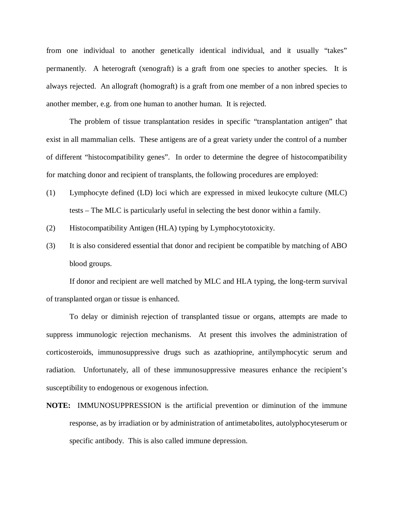from one individual to another genetically identical individual, and it usually "takes" permanently. A heterograft (xenograft) is a graft from one species to another species. It is always rejected. An allograft (homograft) is a graft from one member of a non inbred species to another member, e.g. from one human to another human. It is rejected.

The problem of tissue transplantation resides in specific "transplantation antigen" that exist in all mammalian cells. These antigens are of a great variety under the control of a number of different "histocompatibility genes". In order to determine the degree of histocompatibility for matching donor and recipient of transplants, the following procedures are employed:

- (1) Lymphocyte defined (LD) loci which are expressed in mixed leukocyte culture (MLC) tests – The MLC is particularly useful in selecting the best donor within a family.
- (2) Histocompatibility Antigen (HLA) typing by Lymphocytotoxicity.
- (3) It is also considered essential that donor and recipient be compatible by matching of ABO blood groups.

If donor and recipient are well matched by MLC and HLA typing, the long-term survival of transplanted organ or tissue is enhanced.

To delay or diminish rejection of transplanted tissue or organs, attempts are made to suppress immunologic rejection mechanisms. At present this involves the administration of corticosteroids, immunosuppressive drugs such as azathioprine, antilymphocytic serum and radiation. Unfortunately, all of these immunosuppressive measures enhance the recipient's susceptibility to endogenous or exogenous infection.

**NOTE:** IMMUNOSUPPRESSION is the artificial prevention or diminution of the immune response, as by irradiation or by administration of antimetabolites, autolyphocyteserum or specific antibody. This is also called immune depression.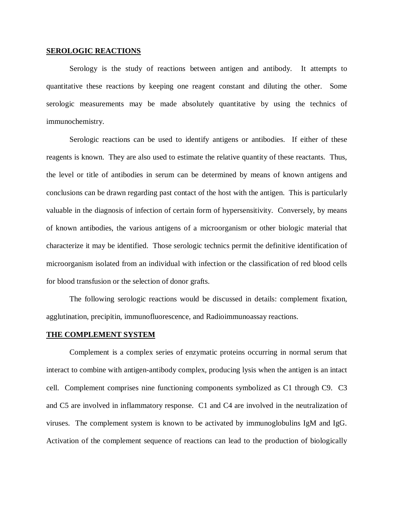## **SEROLOGIC REACTIONS**

Serology is the study of reactions between antigen and antibody. It attempts to quantitative these reactions by keeping one reagent constant and diluting the other. Some serologic measurements may be made absolutely quantitative by using the technics of immunochemistry.

Serologic reactions can be used to identify antigens or antibodies. If either of these reagents is known. They are also used to estimate the relative quantity of these reactants. Thus, the level or title of antibodies in serum can be determined by means of known antigens and conclusions can be drawn regarding past contact of the host with the antigen. This is particularly valuable in the diagnosis of infection of certain form of hypersensitivity. Conversely, by means of known antibodies, the various antigens of a microorganism or other biologic material that characterize it may be identified. Those serologic technics permit the definitive identification of microorganism isolated from an individual with infection or the classification of red blood cells for blood transfusion or the selection of donor grafts.

The following serologic reactions would be discussed in details: complement fixation, agglutination, precipitin, immunofluorescence, and Radioimmunoassay reactions.

#### **THE COMPLEMENT SYSTEM**

Complement is a complex series of enzymatic proteins occurring in normal serum that interact to combine with antigen-antibody complex, producing lysis when the antigen is an intact cell. Complement comprises nine functioning components symbolized as C1 through C9. C3 and C5 are involved in inflammatory response. C1 and C4 are involved in the neutralization of viruses. The complement system is known to be activated by immunoglobulins IgM and IgG. Activation of the complement sequence of reactions can lead to the production of biologically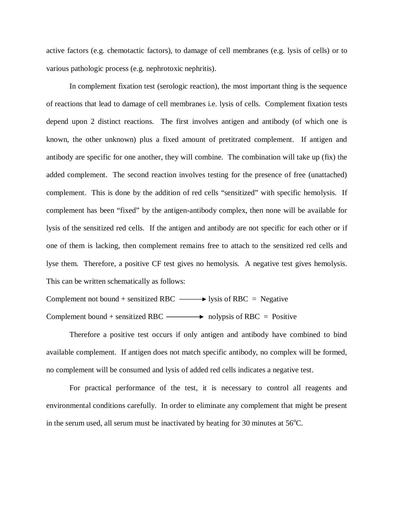active factors (e.g. chemotactic factors), to damage of cell membranes (e.g. lysis of cells) or to various pathologic process (e.g. nephrotoxic nephritis).

In complement fixation test (serologic reaction), the most important thing is the sequence of reactions that lead to damage of cell membranes i.e. lysis of cells. Complement fixation tests depend upon 2 distinct reactions. The first involves antigen and antibody (of which one is known, the other unknown) plus a fixed amount of pretitrated complement. If antigen and antibody are specific for one another, they will combine. The combination will take up (fix) the added complement. The second reaction involves testing for the presence of free (unattached) complement. This is done by the addition of red cells "sensitized" with specific hemolysis. If complement has been "fixed" by the antigen-antibody complex, then none will be available for lysis of the sensitized red cells. If the antigen and antibody are not specific for each other or if one of them is lacking, then complement remains free to attach to the sensitized red cells and lyse them. Therefore, a positive CF test gives no hemolysis. A negative test gives hemolysis. This can be written schematically as follows:

```
Complement not bound + sensitized RBC \longrightarrow lysis of RBC = Negative
Complement bound + sensitized RBC \longrightarrow nolypsis of RBC = Positive
```
Therefore a positive test occurs if only antigen and antibody have combined to bind available complement. If antigen does not match specific antibody, no complex will be formed, no complement will be consumed and lysis of added red cells indicates a negative test.

For practical performance of the test, it is necessary to control all reagents and environmental conditions carefully. In order to eliminate any complement that might be present in the serum used, all serum must be inactivated by heating for 30 minutes at  $56^{\circ}$ C.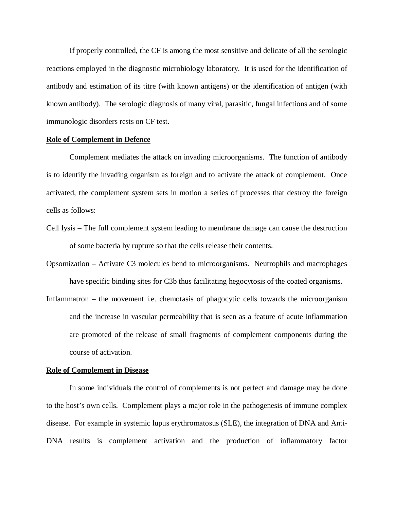If properly controlled, the CF is among the most sensitive and delicate of all the serologic reactions employed in the diagnostic microbiology laboratory. It is used for the identification of antibody and estimation of its titre (with known antigens) or the identification of antigen (with known antibody). The serologic diagnosis of many viral, parasitic, fungal infections and of some immunologic disorders rests on CF test.

# **Role of Complement in Defence**

Complement mediates the attack on invading microorganisms. The function of antibody is to identify the invading organism as foreign and to activate the attack of complement. Once activated, the complement system sets in motion a series of processes that destroy the foreign cells as follows:

- Cell lysis The full complement system leading to membrane damage can cause the destruction of some bacteria by rupture so that the cells release their contents.
- Opsomization Activate C3 molecules bend to microorganisms. Neutrophils and macrophages have specific binding sites for C3b thus facilitating hegocytosis of the coated organisms.
- Inflammatron the movement i.e. chemotasis of phagocytic cells towards the microorganism and the increase in vascular permeability that is seen as a feature of acute inflammation are promoted of the release of small fragments of complement components during the course of activation.

#### **Role of Complement in Disease**

In some individuals the control of complements is not perfect and damage may be done to the host's own cells. Complement plays a major role in the pathogenesis of immune complex disease. For example in systemic lupus erythromatosus (SLE), the integration of DNA and Anti-DNA results is complement activation and the production of inflammatory factor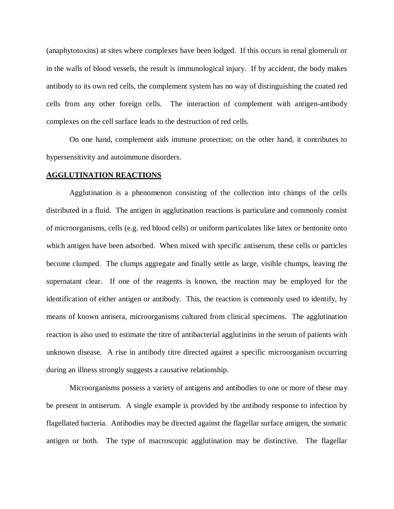(anaphytotoxins) at sites where complexes have been lodged. If this occurs in renal glomeruli or in the walls of blood vessels, the result is immunological injury. If by accident, the body makes antibody to its own red cells, the complement system has no way of distinguishing the coated red cells from any other foreign cells. The interaction of complement with antigen-antibody complexes on the cell surface leads to the destruction of red cells.

On one hand, complement aids immune protection; on the other hand, it contributes to hypersensitivity and autoimmune disorders.

# **AGGLUTINATION REACTIONS**

Agglutination is a phenomenon consisting of the collection into chimps of the cells distributed in a fluid. The antigen in agglutination reactions is particulate and commonly consist of microorganisms, cells (e.g. red blood cells) or uniform particulates like latex or bentonite onto which antigen have been adsorbed. When mixed with specific antiserum, these cells or particles become clumped. The clumps aggregate and finally settle as large, visible chumps, leaving the supernatant clear. If one of the reagents is known, the reaction may be employed for the identification of either antigen or antibody. This, the reaction is commonly used to identify, by means of known antisera, microorganisms cultured from clinical specimens. The agglutination reaction is also used to estimate the titre of antibacterial agglutinins in the serum of patients with unknown disease. A rise in antibody titre directed against a specific microorganism occurring during an illness strongly suggests a causative relationship.

Microorganisms possess a variety of antigens and antibodies to one or more of these may be present in antiserum. A single example is provided by the antibody response to infection by flagellated bacteria. Antibodies may be directed against the flagellar surface antigen, the somatic antigen or both. The type of macroscopic agglutination may be distinctive. The flagellar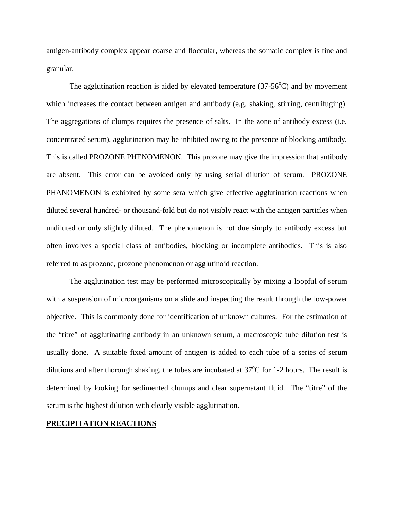antigen-antibody complex appear coarse and floccular, whereas the somatic complex is fine and granular.

The agglutination reaction is aided by elevated temperature  $(37-56^{\circ}C)$  and by movement which increases the contact between antigen and antibody (e.g. shaking, stirring, centrifuging). The aggregations of clumps requires the presence of salts. In the zone of antibody excess (i.e. concentrated serum), agglutination may be inhibited owing to the presence of blocking antibody. This is called PROZONE PHENOMENON. This prozone may give the impression that antibody are absent. This error can be avoided only by using serial dilution of serum. PROZONE PHANOMENON is exhibited by some sera which give effective agglutination reactions when diluted several hundred- or thousand-fold but do not visibly react with the antigen particles when undiluted or only slightly diluted. The phenomenon is not due simply to antibody excess but often involves a special class of antibodies, blocking or incomplete antibodies. This is also referred to as prozone, prozone phenomenon or agglutinoid reaction.

The agglutination test may be performed microscopically by mixing a loopful of serum with a suspension of microorganisms on a slide and inspecting the result through the low-power objective. This is commonly done for identification of unknown cultures. For the estimation of the "titre" of agglutinating antibody in an unknown serum, a macroscopic tube dilution test is usually done. A suitable fixed amount of antigen is added to each tube of a series of serum dilutions and after thorough shaking, the tubes are incubated at  $37^{\circ}$ C for 1-2 hours. The result is determined by looking for sedimented chumps and clear supernatant fluid. The "titre" of the serum is the highest dilution with clearly visible agglutination.

# **PRECIPITATION REACTIONS**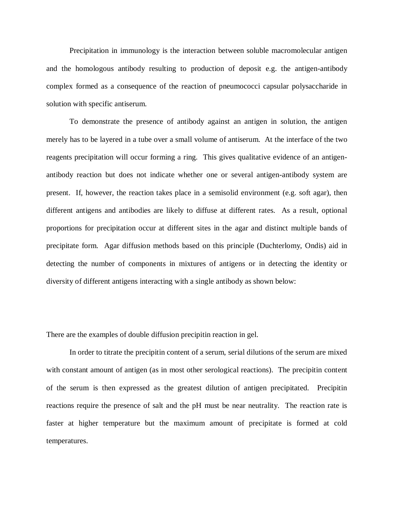Precipitation in immunology is the interaction between soluble macromolecular antigen and the homologous antibody resulting to production of deposit e.g. the antigen-antibody complex formed as a consequence of the reaction of pneumococci capsular polysaccharide in solution with specific antiserum.

To demonstrate the presence of antibody against an antigen in solution, the antigen merely has to be layered in a tube over a small volume of antiserum. At the interface of the two reagents precipitation will occur forming a ring. This gives qualitative evidence of an antigenantibody reaction but does not indicate whether one or several antigen-antibody system are present. If, however, the reaction takes place in a semisolid environment (e.g. soft agar), then different antigens and antibodies are likely to diffuse at different rates. As a result, optional proportions for precipitation occur at different sites in the agar and distinct multiple bands of precipitate form. Agar diffusion methods based on this principle (Duchterlomy, Ondis) aid in detecting the number of components in mixtures of antigens or in detecting the identity or diversity of different antigens interacting with a single antibody as shown below:

There are the examples of double diffusion precipitin reaction in gel.

In order to titrate the precipitin content of a serum, serial dilutions of the serum are mixed with constant amount of antigen (as in most other serological reactions). The precipitin content of the serum is then expressed as the greatest dilution of antigen precipitated. Precipitin reactions require the presence of salt and the pH must be near neutrality. The reaction rate is faster at higher temperature but the maximum amount of precipitate is formed at cold temperatures.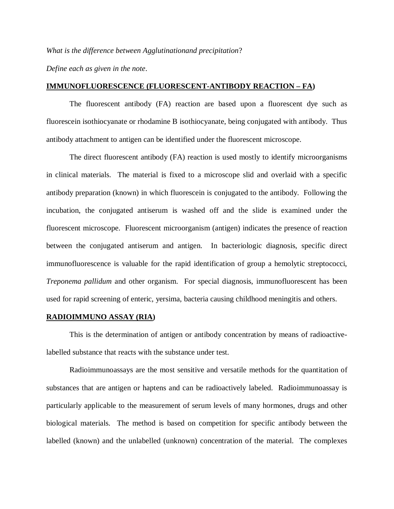*What is the difference between Agglutinationand precipitation*?

*Define each as given in the note*.

## **IMMUNOFLUORESCENCE (FLUORESCENT-ANTIBODY REACTION – FA)**

The fluorescent antibody (FA) reaction are based upon a fluorescent dye such as fluorescein isothiocyanate or rhodamine B isothiocyanate, being conjugated with antibody. Thus antibody attachment to antigen can be identified under the fluorescent microscope.

The direct fluorescent antibody (FA) reaction is used mostly to identify microorganisms in clinical materials. The material is fixed to a microscope slid and overlaid with a specific antibody preparation (known) in which fluorescein is conjugated to the antibody. Following the incubation, the conjugated antiserum is washed off and the slide is examined under the fluorescent microscope. Fluorescent microorganism (antigen) indicates the presence of reaction between the conjugated antiserum and antigen. In bacteriologic diagnosis, specific direct immunofluorescence is valuable for the rapid identification of group a hemolytic streptococci, *Treponema pallidum* and other organism. For special diagnosis, immunofluorescent has been used for rapid screening of enteric, yersima, bacteria causing childhood meningitis and others.

# **RADIOIMMUNO ASSAY (RIA)**

This is the determination of antigen or antibody concentration by means of radioactivelabelled substance that reacts with the substance under test.

Radioimmunoassays are the most sensitive and versatile methods for the quantitation of substances that are antigen or haptens and can be radioactively labeled. Radioimmunoassay is particularly applicable to the measurement of serum levels of many hormones, drugs and other biological materials. The method is based on competition for specific antibody between the labelled (known) and the unlabelled (unknown) concentration of the material. The complexes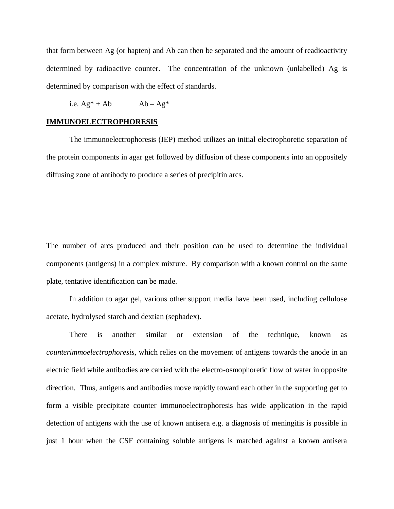that form between Ag (or hapten) and Ab can then be separated and the amount of readioactivity determined by radioactive counter. The concentration of the unknown (unlabelled) Ag is determined by comparison with the effect of standards.

i.e.  $Ag^* + Ab$   $Ab - Ag^*$ 

# **IMMUNOELECTROPHORESIS**

The immunoelectrophoresis (IEP) method utilizes an initial electrophoretic separation of the protein components in agar get followed by diffusion of these components into an oppositely diffusing zone of antibody to produce a series of precipitin arcs.

The number of arcs produced and their position can be used to determine the individual components (antigens) in a complex mixture. By comparison with a known control on the same plate, tentative identification can be made.

In addition to agar gel, various other support media have been used, including cellulose acetate, hydrolysed starch and dextian (sephadex).

There is another similar or extension of the technique, known as *counterimmoelectrophoresis*, which relies on the movement of antigens towards the anode in an electric field while antibodies are carried with the electro-osmophoretic flow of water in opposite direction. Thus, antigens and antibodies move rapidly toward each other in the supporting get to form a visible precipitate counter immunoelectrophoresis has wide application in the rapid detection of antigens with the use of known antisera e.g. a diagnosis of meningitis is possible in just 1 hour when the CSF containing soluble antigens is matched against a known antisera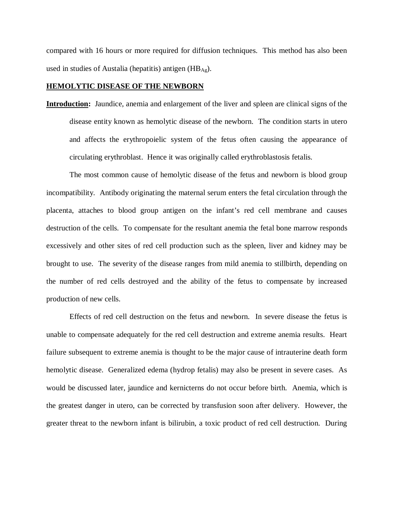compared with 16 hours or more required for diffusion techniques. This method has also been used in studies of Austalia (hepatitis) antigen (HB $_{\text{Ag}}$ ).

# **HEMOLYTIC DISEASE OF THE NEWBORN**

**Introduction:** Jaundice, anemia and enlargement of the liver and spleen are clinical signs of the disease entity known as hemolytic disease of the newborn. The condition starts in utero and affects the erythropoielic system of the fetus often causing the appearance of circulating erythroblast. Hence it was originally called erythroblastosis fetalis.

The most common cause of hemolytic disease of the fetus and newborn is blood group incompatibility. Antibody originating the maternal serum enters the fetal circulation through the placenta, attaches to blood group antigen on the infant's red cell membrane and causes destruction of the cells. To compensate for the resultant anemia the fetal bone marrow responds excessively and other sites of red cell production such as the spleen, liver and kidney may be brought to use. The severity of the disease ranges from mild anemia to stillbirth, depending on the number of red cells destroyed and the ability of the fetus to compensate by increased production of new cells.

Effects of red cell destruction on the fetus and newborn. In severe disease the fetus is unable to compensate adequately for the red cell destruction and extreme anemia results. Heart failure subsequent to extreme anemia is thought to be the major cause of intrauterine death form hemolytic disease. Generalized edema (hydrop fetalis) may also be present in severe cases. As would be discussed later, jaundice and kernicterns do not occur before birth. Anemia, which is the greatest danger in utero, can be corrected by transfusion soon after delivery. However, the greater threat to the newborn infant is bilirubin, a toxic product of red cell destruction. During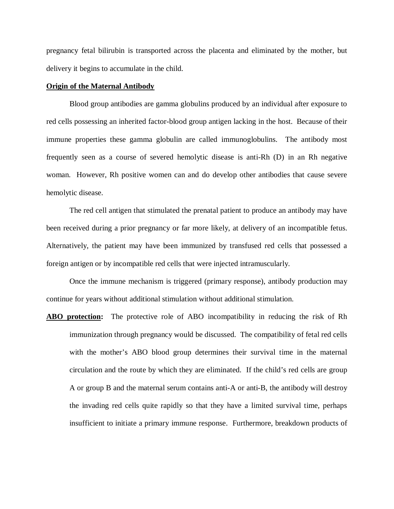pregnancy fetal bilirubin is transported across the placenta and eliminated by the mother, but delivery it begins to accumulate in the child.

# **Origin of the Maternal Antibody**

Blood group antibodies are gamma globulins produced by an individual after exposure to red cells possessing an inherited factor-blood group antigen lacking in the host. Because of their immune properties these gamma globulin are called immunoglobulins. The antibody most frequently seen as a course of severed hemolytic disease is anti-Rh (D) in an Rh negative woman. However, Rh positive women can and do develop other antibodies that cause severe hemolytic disease.

The red cell antigen that stimulated the prenatal patient to produce an antibody may have been received during a prior pregnancy or far more likely, at delivery of an incompatible fetus. Alternatively, the patient may have been immunized by transfused red cells that possessed a foreign antigen or by incompatible red cells that were injected intramuscularly.

Once the immune mechanism is triggered (primary response), antibody production may continue for years without additional stimulation without additional stimulation.

**ABO protection:** The protective role of ABO incompatibility in reducing the risk of Rh immunization through pregnancy would be discussed. The compatibility of fetal red cells with the mother's ABO blood group determines their survival time in the maternal circulation and the route by which they are eliminated. If the child's red cells are group A or group B and the maternal serum contains anti-A or anti-B, the antibody will destroy the invading red cells quite rapidly so that they have a limited survival time, perhaps insufficient to initiate a primary immune response. Furthermore, breakdown products of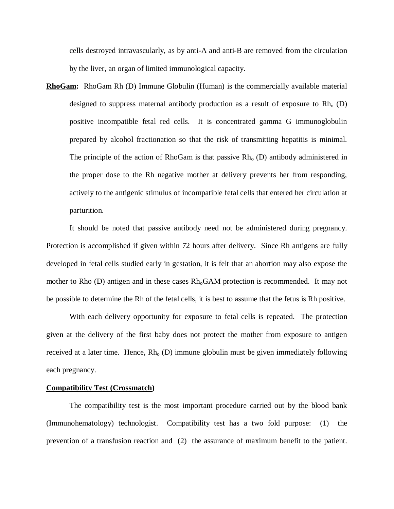cells destroyed intravascularly, as by anti-A and anti-B are removed from the circulation by the liver, an organ of limited immunological capacity.

**RhoGam:** RhoGam Rh (D) Immune Globulin (Human) is the commercially available material designed to suppress maternal antibody production as a result of exposure to  $Rh_0$  (D) positive incompatible fetal red cells. It is concentrated gamma G immunoglobulin prepared by alcohol fractionation so that the risk of transmitting hepatitis is minimal. The principle of the action of RhoGam is that passive  $Rh_0$  (D) antibody administered in the proper dose to the Rh negative mother at delivery prevents her from responding, actively to the antigenic stimulus of incompatible fetal cells that entered her circulation at parturition.

It should be noted that passive antibody need not be administered during pregnancy. Protection is accomplished if given within 72 hours after delivery. Since Rh antigens are fully developed in fetal cells studied early in gestation, it is felt that an abortion may also expose the mother to Rho (D) antigen and in these cases Rh<sub>o</sub>GAM protection is recommended. It may not be possible to determine the Rh of the fetal cells, it is best to assume that the fetus is Rh positive.

With each delivery opportunity for exposure to fetal cells is repeated. The protection given at the delivery of the first baby does not protect the mother from exposure to antigen received at a later time. Hence,  $Rh_0(D)$  immune globulin must be given immediately following each pregnancy.

# **Compatibility Test (Crossmatch)**

The compatibility test is the most important procedure carried out by the blood bank (Immunohematology) technologist. Compatibility test has a two fold purpose: (1) the prevention of a transfusion reaction and (2) the assurance of maximum benefit to the patient.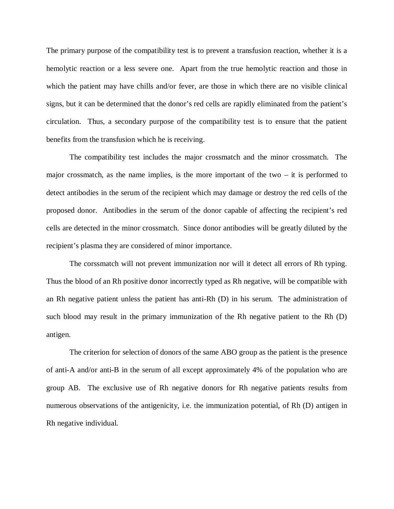The primary purpose of the compatibility test is to prevent a transfusion reaction, whether it is a hemolytic reaction or a less severe one. Apart from the true hemolytic reaction and those in which the patient may have chills and/or fever, are those in which there are no visible clinical signs, but it can be determined that the donor's red cells are rapidly eliminated from the patient's circulation. Thus, a secondary purpose of the compatibility test is to ensure that the patient benefits from the transfusion which he is receiving.

The compatibility test includes the major crossmatch and the minor crossmatch. The major crossmatch, as the name implies, is the more important of the two  $-$  it is performed to detect antibodies in the serum of the recipient which may damage or destroy the red cells of the proposed donor. Antibodies in the serum of the donor capable of affecting the recipient's red cells are detected in the minor crossmatch. Since donor antibodies will be greatly diluted by the recipient's plasma they are considered of minor importance.

The corssmatch will not prevent immunization nor will it detect all errors of Rh typing. Thus the blood of an Rh positive donor incorrectly typed as Rh negative, will be compatible with an Rh negative patient unless the patient has anti-Rh (D) in his serum. The administration of such blood may result in the primary immunization of the Rh negative patient to the Rh (D) antigen.

The criterion for selection of donors of the same ABO group as the patient is the presence of anti-A and/or anti-B in the serum of all except approximately 4% of the population who are group AB. The exclusive use of Rh negative donors for Rh negative patients results from numerous observations of the antigenicity, i.e. the immunization potential, of Rh (D) antigen in Rh negative individual.